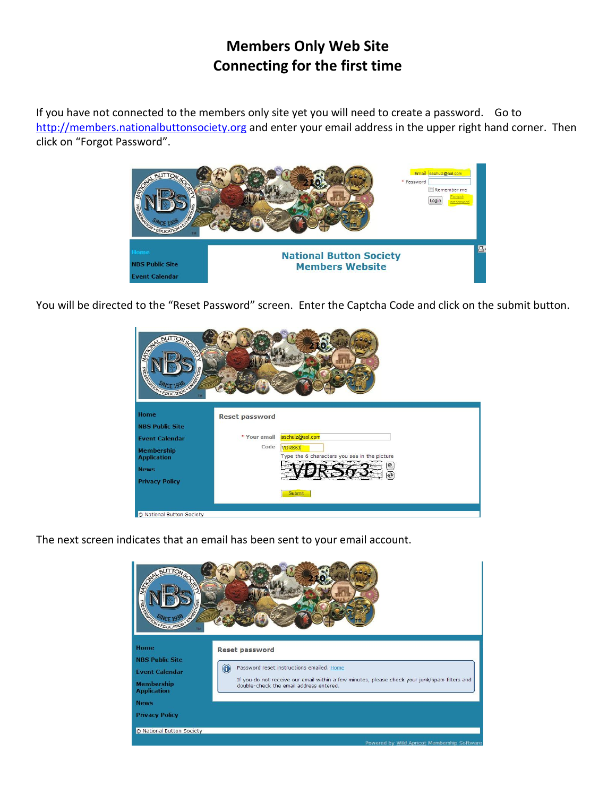## **Members Only Web Site Connecting for the first time**

If you have not connected to the members only site yet you will need to create a password. Go to [http://members.nationalbuttonsociety.org](http://members.nationalbuttonsociety.org/) and enter your email address in the upper right hand corner. Then click on "Forgot Password".



You will be directed to the "Reset Password" screen. Enter the Captcha Code and click on the submit button.



The next screen indicates that an email has been sent to your email account.

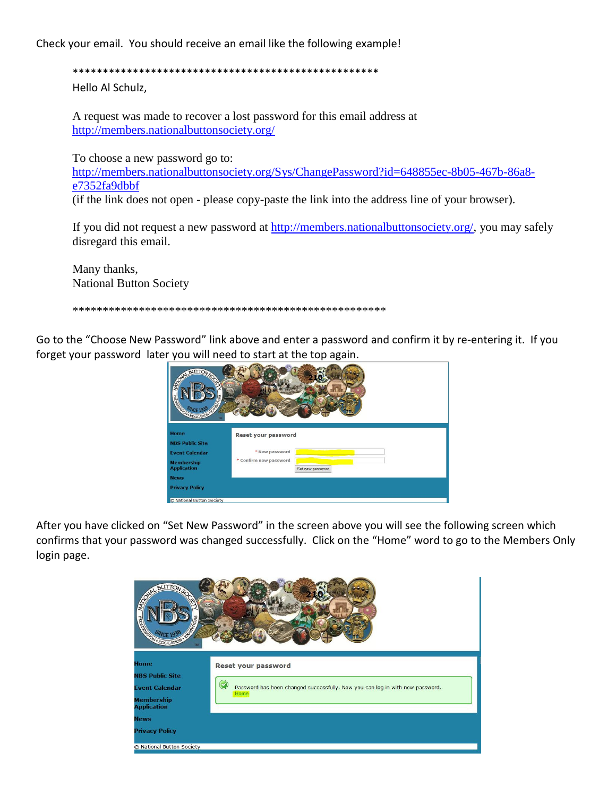Check your email. You should receive an email like the following example!

Hello Al Schulz,

A request was made to recover a lost password for this email address at http://members.nationalbuttonsociety.org/

To choose a new password go to:

http://members.nationalbuttonsociety.org/Sys/ChangePassword?id=648855ec-8b05-467b-86a8e7352fa9dbbf (if the link does not open - please copy-paste the link into the address line of your browser).

If you did not request a new password at  $\frac{http://members.nationalbuttonsociety.org/}{http://members.nationalbuttonsociety.org/},$  you may safely disregard this email.

Many thanks, **National Button Society** 

Go to the "Choose New Password" link above and enter a password and confirm it by re-entering it. If you forget your password later you will need to start at the top again.



After you have clicked on "Set New Password" in the screen above you will see the following screen which confirms that your password was changed successfully. Click on the "Home" word to go to the Members Only login page.

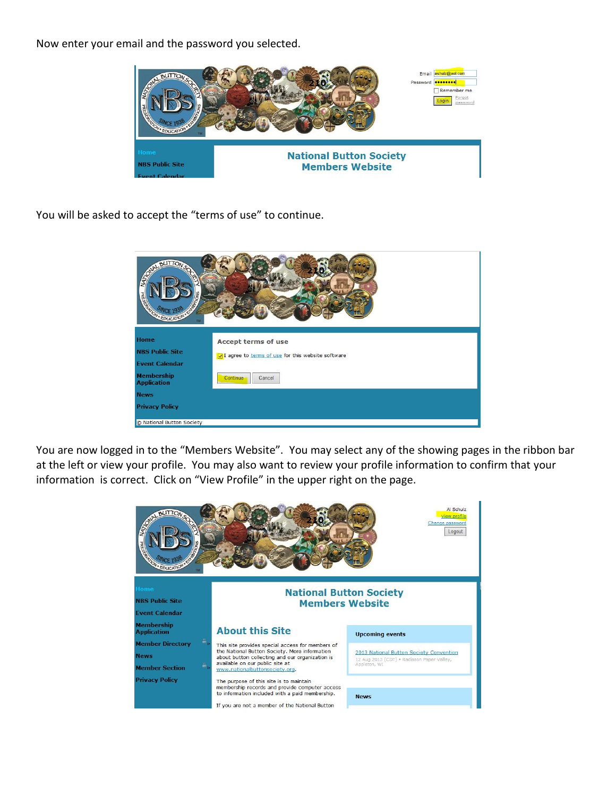Now enter your email and the password you selected.



You will be asked to accept the "terms of use" to continue.



You are now logged in to the "Members Website". You may select any of the showing pages in the ribbon bar at the left or view your profile. You may also want to review your profile information to confirm that your information is correct. Click on "View Profile" in the upper right on the page.